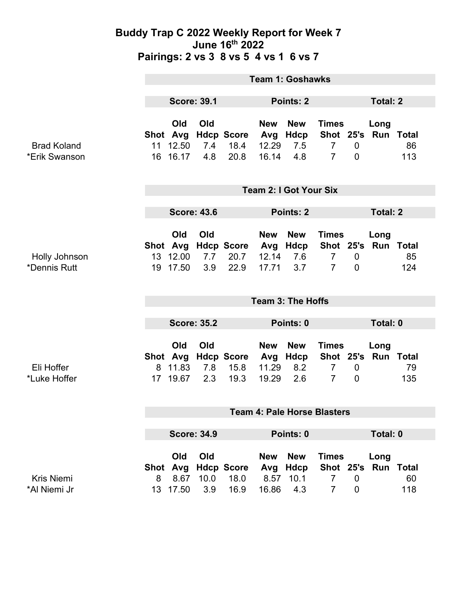#### **Buddy Trap C 2022 Weekly Report for Week 7 June 16th 2022 Pairings: 2 vs 3 8 vs 5 4 vs 1 6 vs 7**

|                                     | <b>Team 1: Goshawks</b>            |                                      |                    |                                   |                                     |                                      |                                                               |                               |                             |           |  |
|-------------------------------------|------------------------------------|--------------------------------------|--------------------|-----------------------------------|-------------------------------------|--------------------------------------|---------------------------------------------------------------|-------------------------------|-----------------------------|-----------|--|
|                                     | <b>Score: 39.1</b>                 |                                      |                    | Points: 2                         |                                     |                                      |                                                               | <b>Total: 2</b>               |                             |           |  |
| <b>Brad Koland</b><br>*Erik Swanson | Shot Avg                           | Old<br>11 12.50<br>16 16.17          | Old<br>7.4<br>4.8  | <b>Hdcp Score</b><br>18.4<br>20.8 | <b>New</b><br>Avg<br>12.29<br>16.14 | <b>New</b><br>Hdcp<br>7.5<br>4.8     | <b>Times</b><br>$\overline{7}$<br>$\overline{7}$              | $\mathbf 0$<br>$\overline{0}$ | Long<br>Shot 25's Run Total | 86<br>113 |  |
|                                     | <b>Team 2: I Got Your Six</b>      |                                      |                    |                                   |                                     |                                      |                                                               |                               |                             |           |  |
|                                     | <b>Score: 43.6</b>                 |                                      |                    |                                   | Points: 2                           |                                      |                                                               |                               | <b>Total: 2</b>             |           |  |
| Holly Johnson<br>*Dennis Rutt       | 19                                 | Old<br>Shot Avg<br>13 12.00<br>17.50 | Old<br>7.7<br>3.9  | <b>Hdcp Score</b><br>20.7<br>22.9 | <b>New</b><br>12.14<br>17.71        | <b>New</b><br>Avg Hdcp<br>7.6<br>3.7 | <b>Times</b><br>Shot 25's<br>$\overline{7}$<br>$\overline{7}$ | $\mathbf 0$<br>$\overline{0}$ | Long<br>Run Total           | 85<br>124 |  |
|                                     | <b>Team 3: The Hoffs</b>           |                                      |                    |                                   |                                     |                                      |                                                               |                               |                             |           |  |
|                                     | <b>Score: 35.2</b>                 |                                      |                    |                                   | Points: 0                           |                                      |                                                               | Total: 0                      |                             |           |  |
| Eli Hoffer<br>*Luke Hoffer          | Shot Avg<br>8                      | Old<br>11.83<br>17 19.67             | Old<br>7.8<br>2.3  | <b>Hdcp Score</b><br>15.8<br>19.3 | <b>New</b><br>11.29<br>19.29        | <b>New</b><br>Avg Hdcp<br>8.2<br>2.6 | <b>Times</b><br>$\overline{7}$<br>$\overline{7}$              | $\mathbf 0$<br>$\mathbf 0$    | Long<br>Shot 25's Run Total | 79<br>135 |  |
|                                     | <b>Team 4: Pale Horse Blasters</b> |                                      |                    |                                   |                                     |                                      |                                                               |                               |                             |           |  |
|                                     | <b>Score: 34.9</b>                 |                                      |                    |                                   | Points: 0                           |                                      |                                                               |                               | <b>Total: 0</b>             |           |  |
| <b>Kris Niemi</b><br>*Al Niemi Jr   | <b>Shot</b><br>8                   | Old<br>Avg<br>8.67<br>13 17.50       | Old<br>10.0<br>3.9 | <b>Hdcp Score</b><br>18.0<br>16.9 | <b>New</b><br>Avg<br>8.57<br>16.86  | <b>New</b><br>Hdcp<br>10.1<br>4.3    | <b>Times</b><br>Shot 25's<br>$\overline{7}$<br>$\overline{7}$ | $\mathbf 0$<br>$\mathbf 0$    | Long<br>Run Total           | 60<br>118 |  |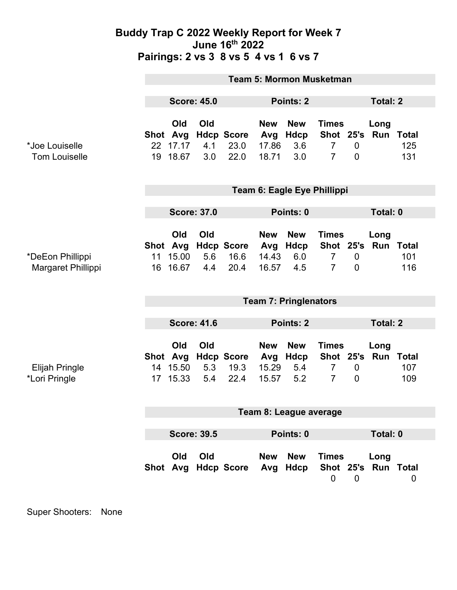### **Buddy Trap C 2022 Weekly Report for Week 7 June 16th 2022 Pairings: 2 vs 3 8 vs 5 4 vs 1 6 vs 7**

|                                        | <b>Team 5: Mormon Musketman</b> |                                      |                   |                                   |                                     |                                  |                                                  |                                  |                             |            |
|----------------------------------------|---------------------------------|--------------------------------------|-------------------|-----------------------------------|-------------------------------------|----------------------------------|--------------------------------------------------|----------------------------------|-----------------------------|------------|
|                                        | <b>Score: 45.0</b>              |                                      |                   | Points: 2                         |                                     |                                  |                                                  | <b>Total: 2</b>                  |                             |            |
| *Joe Louiselle<br><b>Tom Louiselle</b> | 19                              | Old<br>Shot Avg<br>22 17.17<br>18.67 | Old<br>4.1<br>3.0 | <b>Hdcp Score</b><br>23.0<br>22.0 | <b>New</b><br>Avg<br>17.86<br>18.71 | <b>New</b><br>Hdcp<br>3.6<br>3.0 | <b>Times</b><br>$\overline{7}$<br>$\overline{7}$ | $\mathbf 0$<br>$\overline{0}$    | Long<br>Shot 25's Run Total | 125<br>131 |
|                                        | Team 6: Eagle Eye Phillippi     |                                      |                   |                                   |                                     |                                  |                                                  |                                  |                             |            |
|                                        | <b>Score: 37.0</b>              |                                      |                   | Points: 0                         |                                     |                                  |                                                  | Total: 0                         |                             |            |
| *DeEon Phillippi<br>Margaret Phillippi | 11<br>16                        | Old<br>Shot Avg<br>15.00<br>16.67    | Old<br>5.6<br>4.4 | <b>Hdcp Score</b><br>16.6<br>20.4 | <b>New</b><br>Avg<br>14.43<br>16.57 | <b>New</b><br>Hdcp<br>6.0<br>4.5 | <b>Times</b><br>$\overline{7}$<br>$\overline{7}$ | $\overline{0}$<br>$\overline{0}$ | Long<br>Shot 25's Run Total | 101<br>116 |
|                                        | <b>Team 7: Pringlenators</b>    |                                      |                   |                                   |                                     |                                  |                                                  |                                  |                             |            |
|                                        | <b>Score: 41.6</b>              |                                      |                   | Points: 2                         |                                     |                                  | <b>Total: 2</b>                                  |                                  |                             |            |
| <b>Elijah Pringle</b><br>*Lori Pringle | 14<br>17 <sup>1</sup>           | Old<br>Shot Avg<br>15.50<br>15.33    | Old<br>5.3<br>5.4 | <b>Hdcp Score</b><br>19.3<br>22.4 | <b>New</b><br>Avg<br>15.29<br>15.57 | <b>New</b><br>Hdcp<br>5.4<br>5.2 | <b>Times</b><br>$\overline{7}$<br>$\overline{7}$ | $\mathbf 0$<br>$\mathbf 0$       | Long<br>Shot 25's Run Total | 107<br>109 |
| Team 8: League average                 |                                 |                                      |                   |                                   |                                     |                                  |                                                  |                                  |                             |            |
|                                        | <b>Score: 39.5</b>              |                                      |                   | Points: 0                         |                                     |                                  |                                                  | Total: 0                         |                             |            |
|                                        |                                 | Old                                  | Old               | Shot Avg Hdcp Score               | New                                 | <b>New</b><br>Avg Hdcp           | <b>Times</b><br>$\mathbf 0$                      | $\overline{0}$                   | Long<br>Shot 25's Run Total | 0          |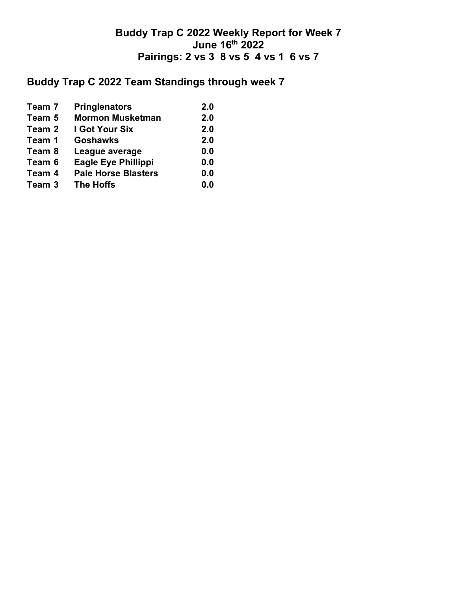## **Buddy Trap C 2022 Weekly Report for Week 7 June 16th 2022 Pairings: 2 vs 3 8 vs 5 4 vs 1 6 vs 7**

# **Buddy Trap C 2022 Team Standings through week 7**

| Team 7 | <b>Pringlenators</b>       | 2.0 |
|--------|----------------------------|-----|
| Team 5 | <b>Mormon Musketman</b>    | 2.0 |
| Team 2 | I Got Your Six             | 2.0 |
| Team 1 | <b>Goshawks</b>            | 2.0 |
| Team 8 | League average             | 0.0 |
| Team 6 | <b>Eagle Eye Phillippi</b> | 0.0 |
| Team 4 | <b>Pale Horse Blasters</b> | 0.0 |
| Team 3 | <b>The Hoffs</b>           | 0.0 |
|        |                            |     |